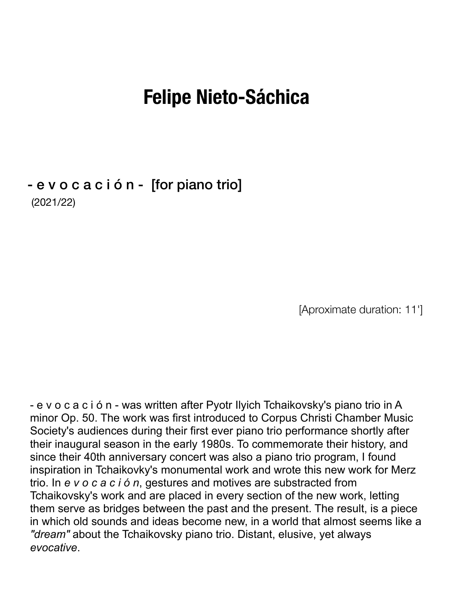## **Felipe Nieto-Sáchica**

- e v o c a c i ó n - [for piano trio] (2021/22)

[Aproximate duration: 11']

- e v o c a c i ó n - was written after Pyotr Ilyich Tchaikovsky's piano trio in A minor Op. 50. The work was first introduced to Corpus Christi Chamber Music Society's audiences during their first ever piano trio performance shortly after their inaugural season in the early 1980s. To commemorate their history, and since their 40th anniversary concert was also a piano trio program, I found inspiration in Tchaikovky's monumental work and wrote this new work for Merz trio. In *e v o c a c i ó n*, gestures and motives are substracted from Tchaikovsky's work and are placed in every section of the new work, letting them serve as bridges between the past and the present. The result, is a piece in which old sounds and ideas become new, in a world that almost seems like a *"dream"* about the Tchaikovsky piano trio. Distant, elusive, yet always *evocative*.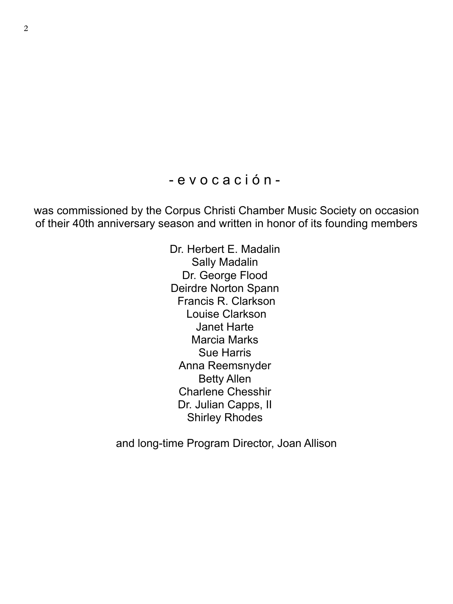- e v o c a c i ó n -

was commissioned by the Corpus Christi Chamber Music Society on occasion of their 40th anniversary season and written in honor of its founding members

> Dr. Herbert E. Madalin Sally Madalin **Dr. George Flood** Dr. Soorge Flood<br>Deirdre Norton Spann Francis R. Clarkson Louise Clarkson <sub>Janet</sub> Harte<br>Janet Harte Marcia Marks rarera marke<br>Sue Harris Anna Reemsnyder a Roomenyddi<br>Betty Allen Charlene Chesshir Dr. Julian Capps, II Shirley Rhodes

and long-time Program Director, Joan Allison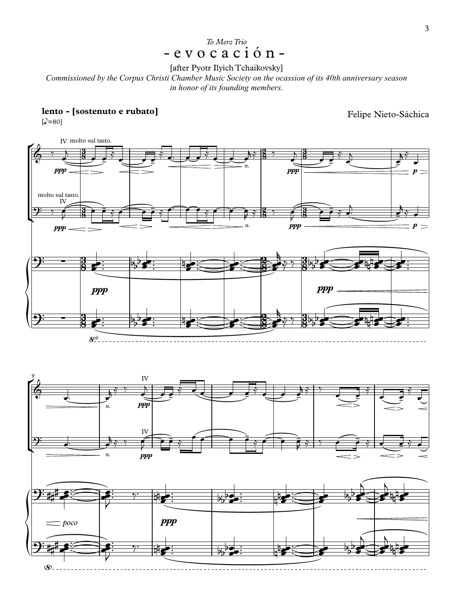## $To$  *Merz Trio* - e v o c a c i ó n -

[after Pyotr Ilyich Tchaikovsky]

*Commissioned by the Corpus Christi Chamber Music Society on the ocassion of its 40th anniversary season in honor of its founding members.*

## **lento - [sostenuto e rubato]**

 $[\triangle = 80]$ 

 $\bigg\vert$ IV molto sul tasto.  $\frac{1}{2}$   $\frac{1}{2}$  $\frac{3}{2}$  $\frac{3}{8}$ ,  $\frac{1}{7}$  $\overrightarrow{3}$   $\overrightarrow{5}$   $\overrightarrow{3}$  $\frac{3}{8}$   $\frac{3}{7}$   $\frac{3}{7}$  $\frac{3}{2}$  $rac{3}{8}$  s:  $\frac{3}{2}$  $rac{3}{8}$  s:  $2, 4$  $\frac{2}{8}$   $\rightarrow$  $2, 7$  $\frac{2}{8}$   $\frac{2}{9}$  $2\sqrt{27}$  $8977$  $2\sqrt{27}$  $8977$  $\frac{3}{2}$  $\frac{3}{8}$   $\Box$  $\frac{1}{3}$   $\frac{1}{2}$  $\frac{3}{8}$   $\frac{1}{2}$  $\frac{3}{2}$  $\frac{3}{8}$  of  $\frac{3}{2}$  $\frac{3}{8}$  of  $\begin{array}{ccc} \bullet & \bullet & \bullet & \bullet \\ \end{array}$ ppp  $\cdot$  -  $\cdot$  -  $\cdot$ *n.* ppp  $\frac{e^{p}}{p}$  $9:$   $\sqrt{3}$ molto sul tasto. ppp IV  $\frac{1}{2}$ *n.* ppp  $\frac{1}{2}$  +  $\frac{e^{\gamma} \dot{\gamma}}{e^{\gamma} \dot{\gamma}}$  $p =$  $9: -3$ ppp ppp  $9: -3$  $8^{vb}$ .  $\frac{1}{2}$   $\frac{3}{8}$  $\begin{array}{c} \begin{array}{c} 3 \\ 8 \end{array} \end{array}$ ≈  $\frac{1}{2}$   $\frac{1}{2}$   $\frac{1}{2}$   $\frac{1}{2}$   $\frac{1}{2}$   $\frac{1}{2}$   $\frac{1}{2}$   $\frac{1}{2}$   $\frac{1}{2}$   $\frac{1}{2}$   $\frac{1}{2}$   $\frac{1}{2}$   $\frac{1}{2}$   $\frac{1}{2}$   $\frac{1}{2}$   $\frac{1}{2}$   $\frac{1}{2}$   $\frac{1}{2}$   $\frac{1}{2}$   $\frac{1}{2}$   $\frac{1}{2}$   $\frac{1}{2}$  ⇒<br>⇒<br>→ œ™ œ œ ∙<br>⊰<br>∤  $\leftarrow$  $\frac{N^3}{8}$  $\frac{1}{2}$   $\frac{2}{8}$   $\frac{1}{8}$  $\begin{array}{c} \sqrt{3} \\ 8 \end{array}$ ÷<br>→  $\sum_{\alpha}$  $\sqrt{r}$  $\overline{\phantom{0}}$  $\frac{1}{2}$ <sup>J</sup> <sup>œ</sup> <sup>œ</sup> <sup>≈</sup> <sup>œ</sup> <sup>œ</sup> <sup>œ</sup> <sup>≈</sup>  $\overrightarrow{e}$   $\overrightarrow{y}$   $\overrightarrow{z}$  $\frac{2}{7}$   $\frac{2}{8}$   $\frac{2}{7}$   $\frac{2}{8}$  $\sqrt{3}$   $\sqrt{7}$   $\sqrt{7}$   $\sqrt{7}$   $\sqrt{7}$   $\sqrt{7}$   $\sqrt{7}$   $\sqrt{7}$   $\sqrt{7}$   $\sqrt{7}$   $\sqrt{7}$   $\sqrt{7}$   $\sqrt{7}$   $\sqrt{7}$   $\sqrt{7}$  $\frac{1}{7}$ œ  $\bullet$ :  $\frac{1}{\sqrt{1-\frac{1}{2}}}$ ∴<br>™  $\frac{1}{2}$  $\frac{1}{2}$  $\frac{p}{2}$ ge:  $b_5$  $\frac{1}{\sqrt{1-\frac{1}{2}}}$ ∴<br>™  $\blacksquare$ **ig** ™ ™  $\bigodot$ r $\lesssim$ 8  $\bullet$ ™ ™  $\bigodot$   $\bigodot$   $\bigodot$   $\bigodot$   $\bigodot$   $\bigodot$   $\bigodot$   $\bigodot$   $\bigodot$   $\bigodot$   $\bigodot$   $\bigodot$   $\bigodot$   $\bigodot$   $\bigodot$   $\bigodot$   $\bigodot$   $\bigodot$   $\bigodot$   $\bigodot$   $\bigodot$   $\bigodot$   $\bigodot$   $\bigodot$   $\bigodot$   $\bigodot$   $\bigodot$   $\bigodot$   $\bigodot$   $\bigodot$   $\bigodot$   $\bigod$  $2, 3, 3,$  $\epsilon$   $\frac{3}{2}$   $\epsilon$  $\overline{\mathcal{C}}$  $\frac{1}{2}$  $b^2$   $c^2$   $c^2$   $c^2$ **ette d** œ  $\frac{1}{2}$ <u>HSE</u>  $\frac{1}{2}$ is $\frac{1}{2}$ es:  $\bullet$ :  $\frac{1}{\sqrt{1-\frac{1}{2}}}$ —<br>∴<br>∴  $\overline{\phantom{a}}$ œ  $\bullet$ :  $\frac{1}{\sqrt{1-\frac{1}{2}}}$  $\frac{1}{\cdot}$  $\frac{1}{2}$  $\frac{1}{2}$  $\frac{b}{b}$ st  $b_5$  or  $\overline{b}$  $\frac{1}{\sqrt{1-\frac{1}{2}}}$ ™  $\blacksquare$ **ige** ™ ™ ™ <sup>œ</sup>  $\bullet$ ™ ™  $\bigoplus_{i=1}^{n}$  $3, 3, 3, 3,$  $\epsilon$   $\frac{3}{2}$   $\epsilon$  $\overline{\mathcal{P}}$  $\frac{p}{2}$  $b^2$   $c^2$   $c^2$   $c^2$ **ette d** <u>ref:</u>  $\frac{1}{2}$  $H$ s $\in$  $\frac{1}{2}$   $\frac{1}{2}$   $\frac{1}{2}$   $\frac{1}{2}$   $\frac{1}{2}$   $\frac{1}{2}$   $\frac{1}{2}$   $\frac{1}{2}$   $\frac{1}{2}$   $\frac{1}{2}$   $\frac{1}{2}$   $\frac{1}{2}$   $\frac{1}{2}$   $\frac{1}{2}$   $\frac{1}{2}$   $\frac{1}{2}$   $\frac{1}{2}$   $\frac{1}{2}$   $\frac{1}{2}$   $\frac{1}{2}$   $\frac{1}{2}$   $\frac{1}{2}$   $\bullet$ :  $\frac{1}{\sqrt{1-\frac{1}{2}}}$ ™  $\frac{1}{\sqrt{1-\frac{1}{2}}}$ 



Felipe Nieto-Sáchica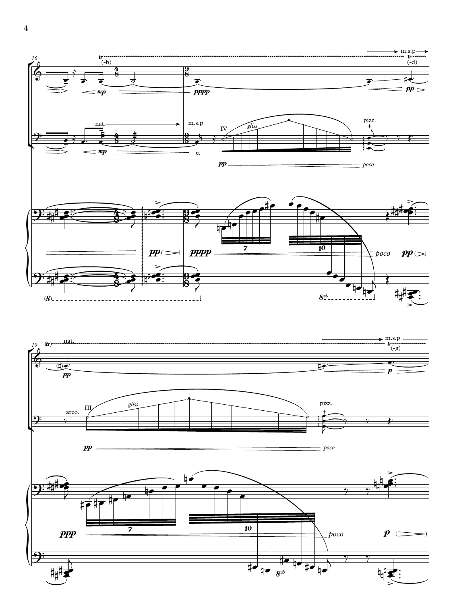



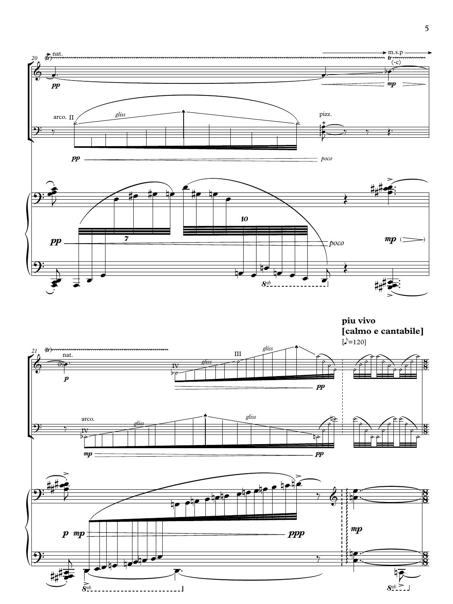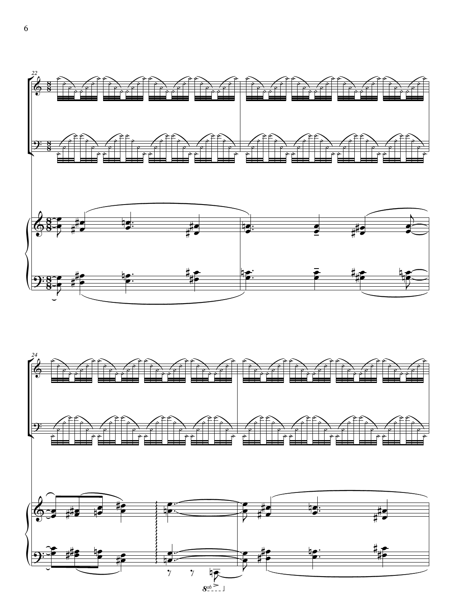

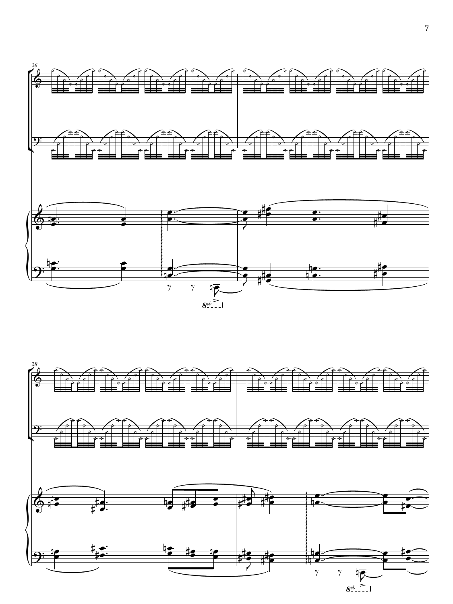

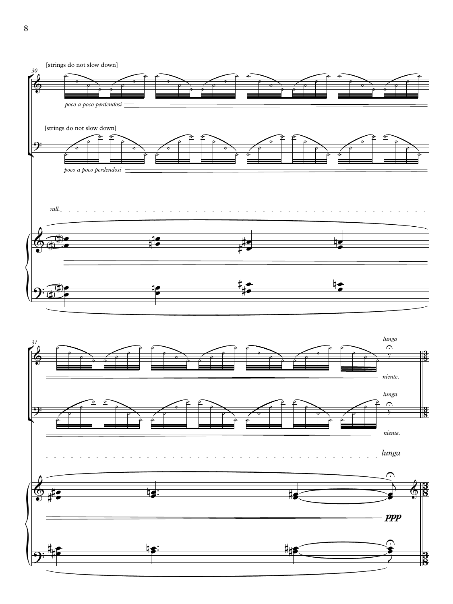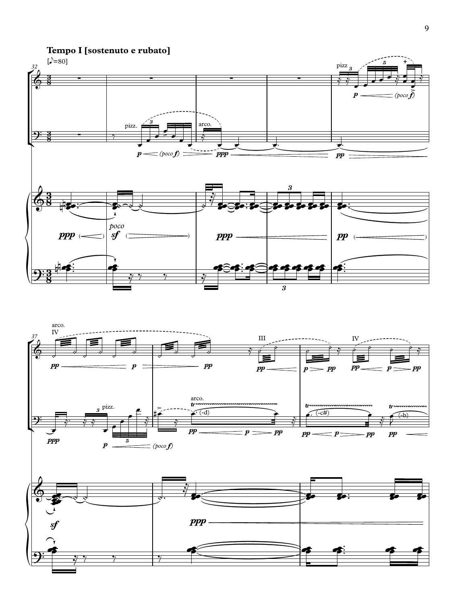**Tempo I [sostenuto e rubato]**



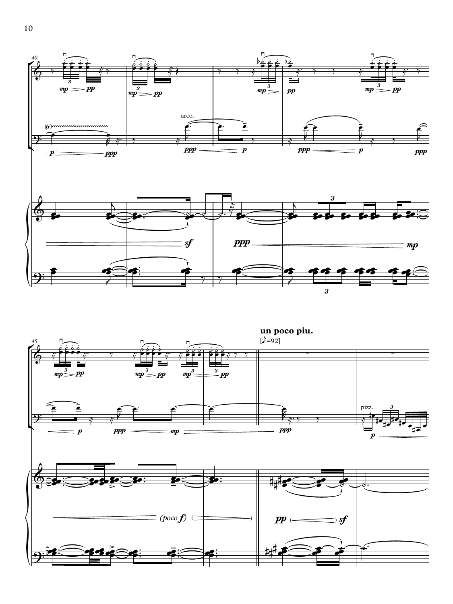

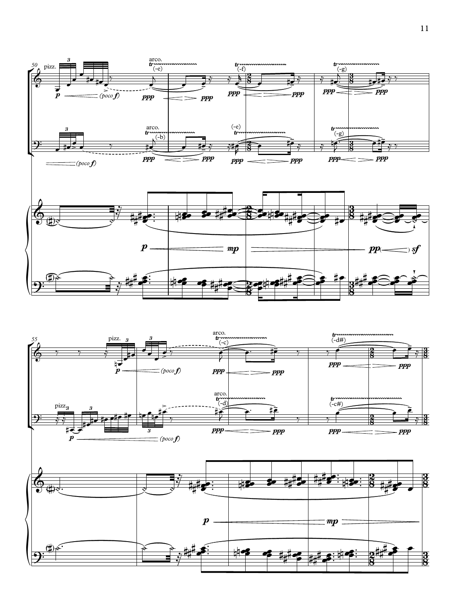

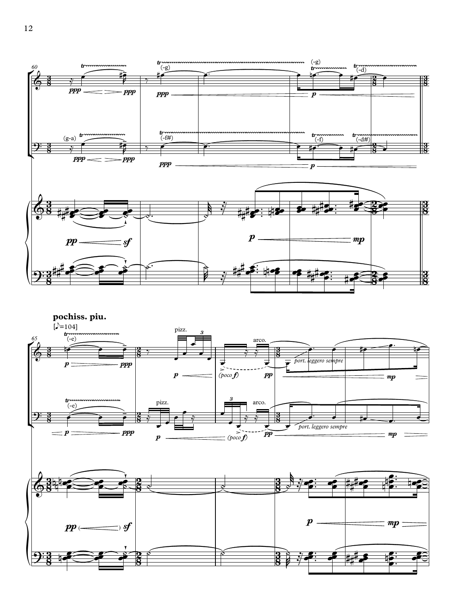

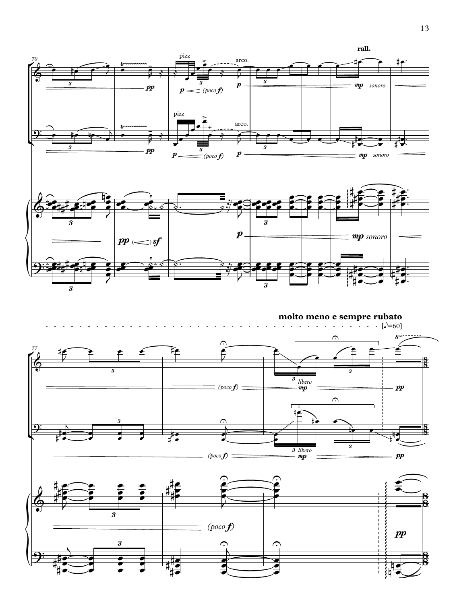

**molto meno e sempre rubato**

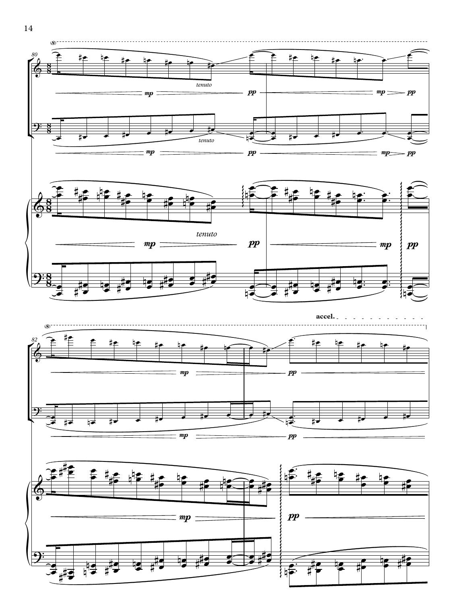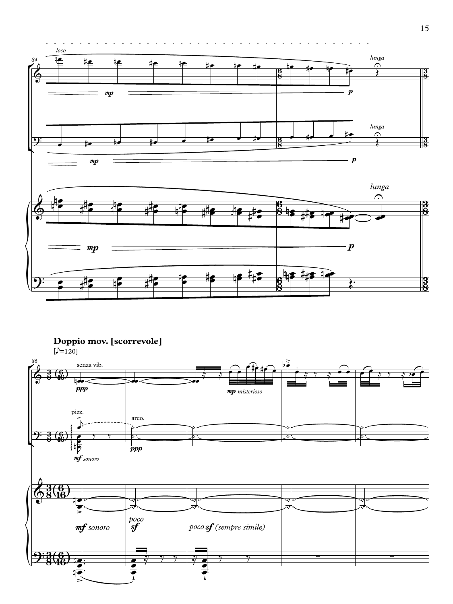

Doppio mov. [scorrevole]

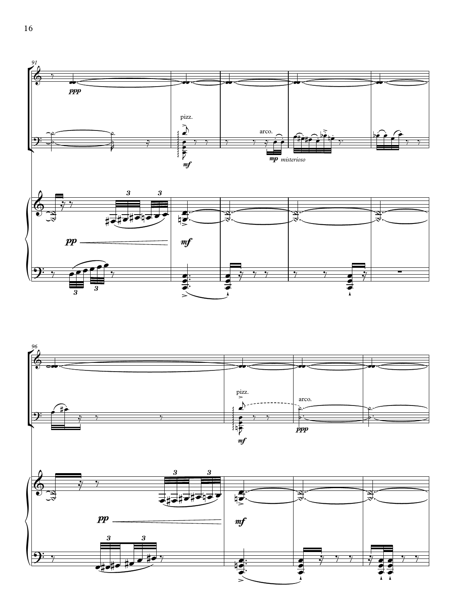

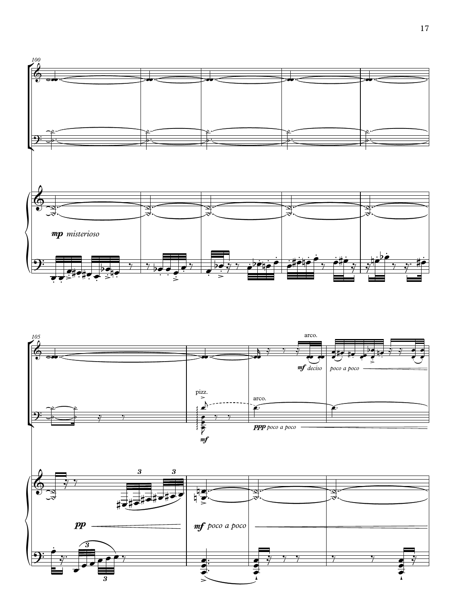

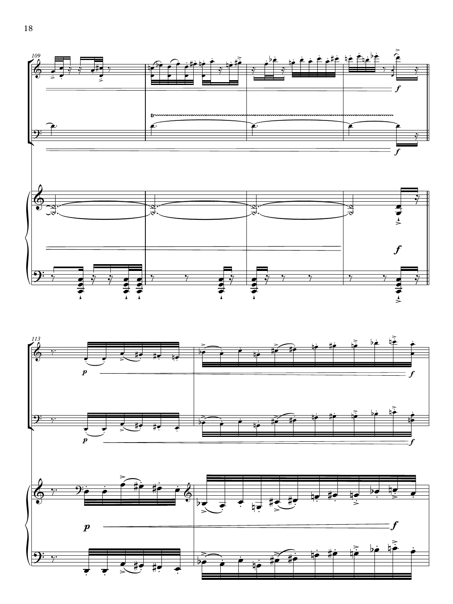

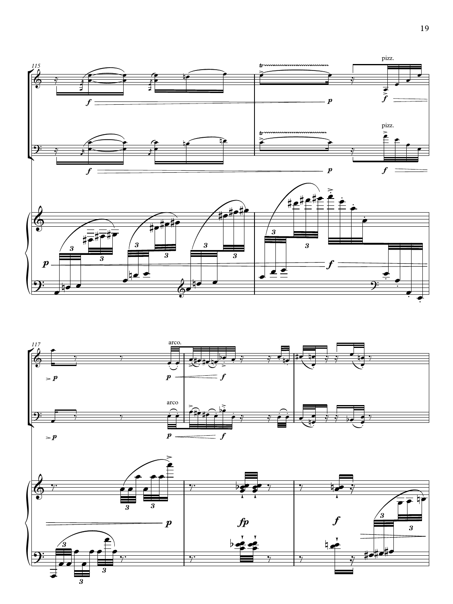

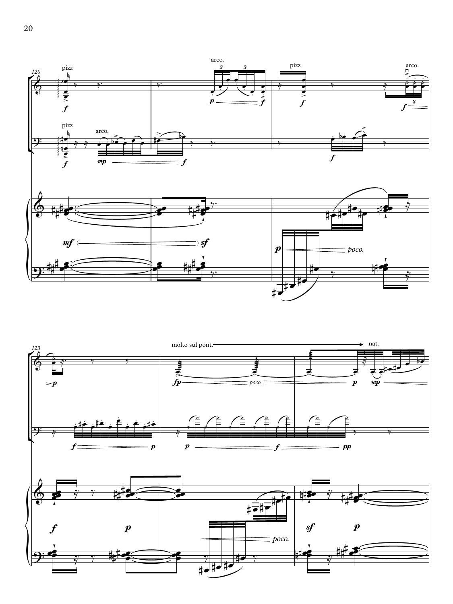

⋕Ӛ

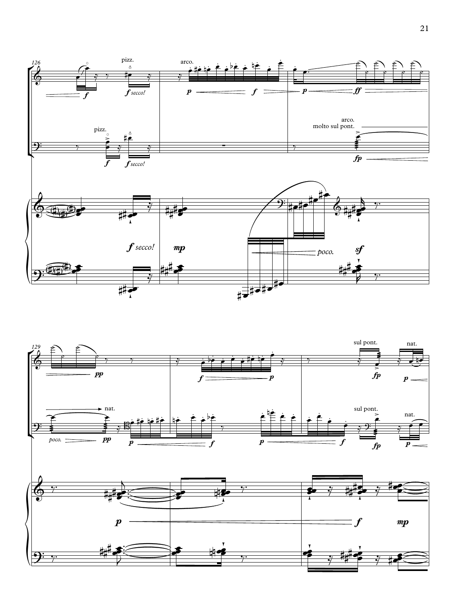

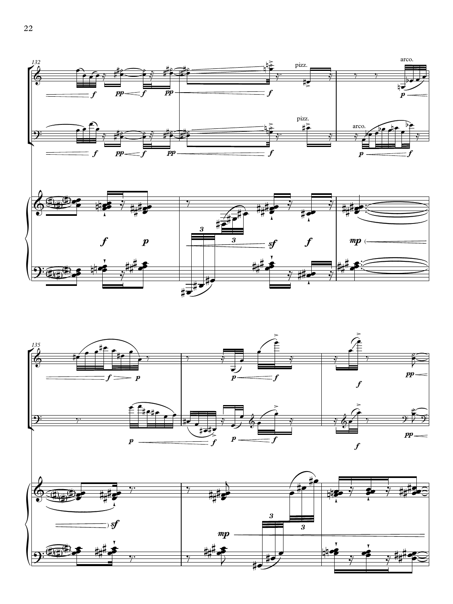



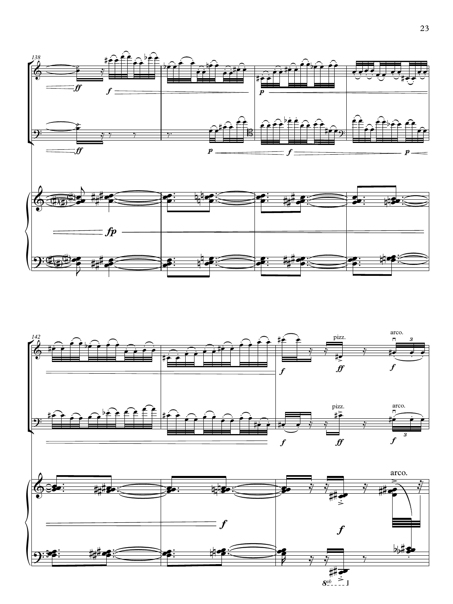

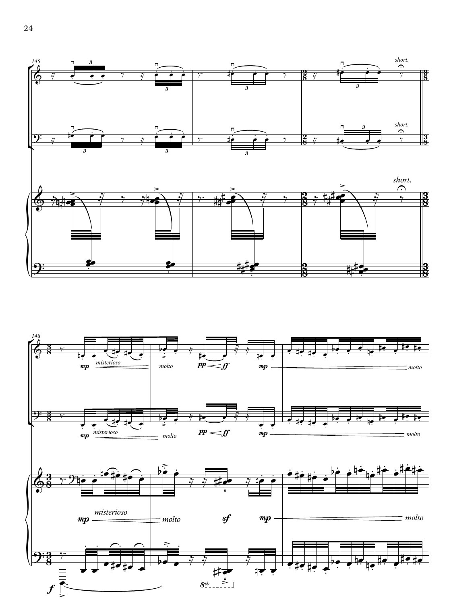

靾

**th<sup>is</sup>** 

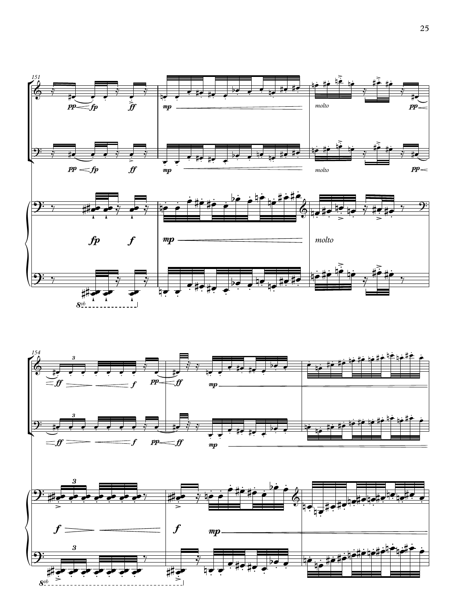

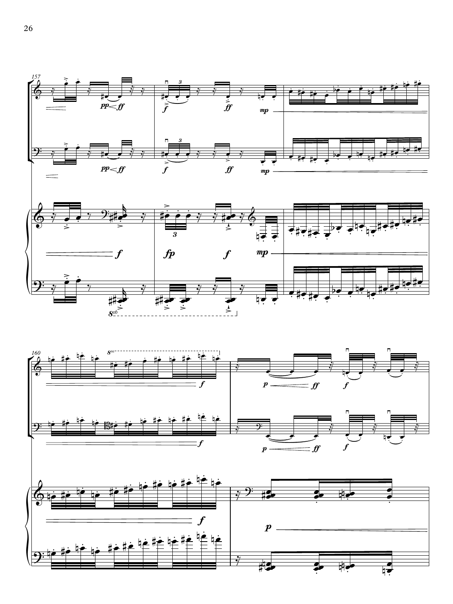



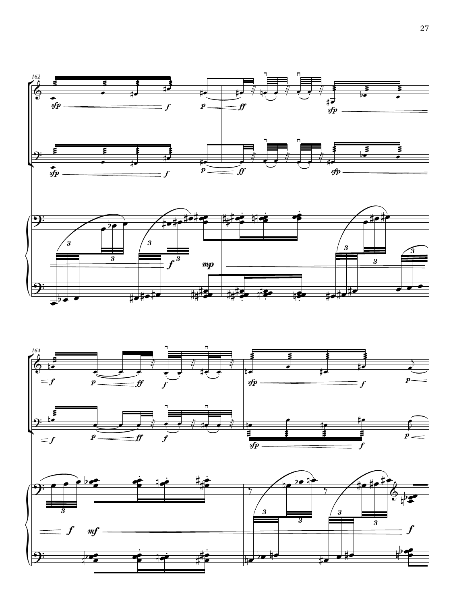



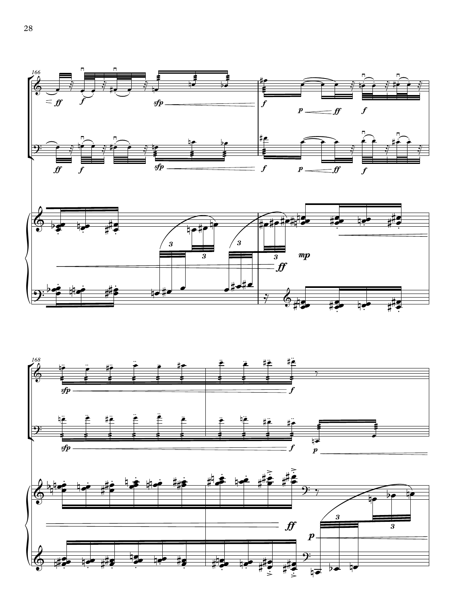

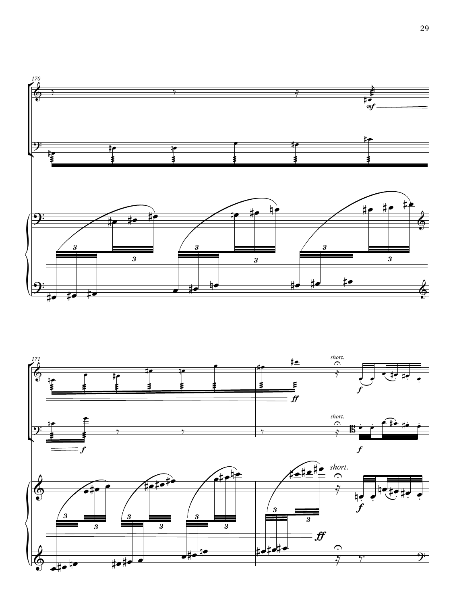

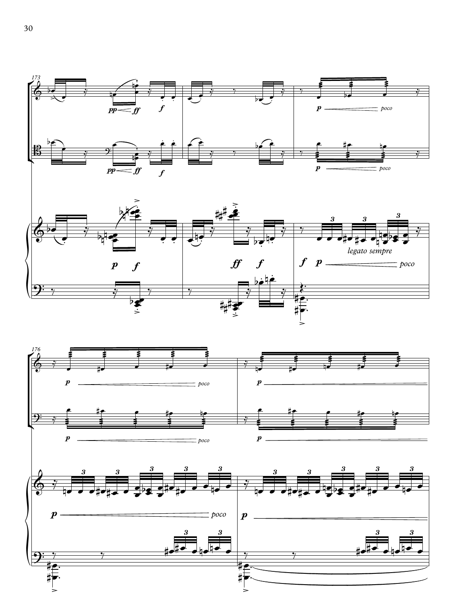





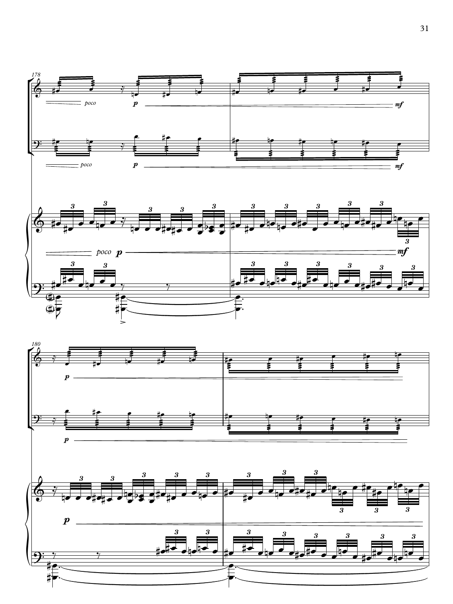

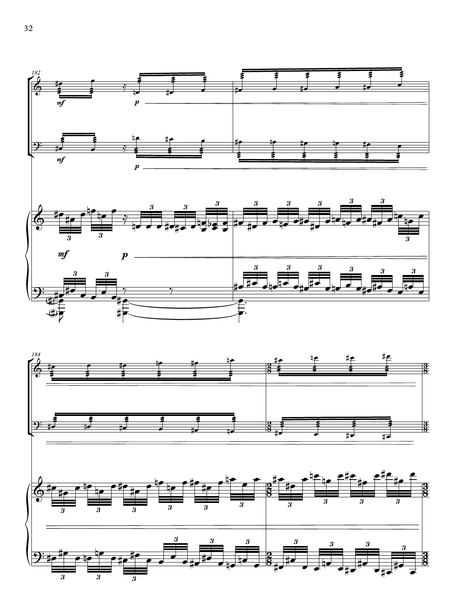

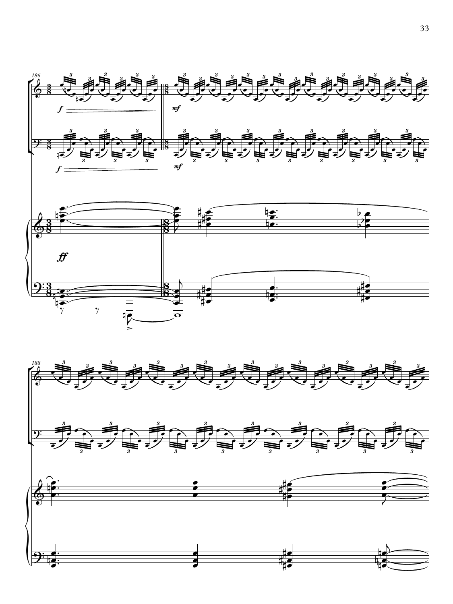

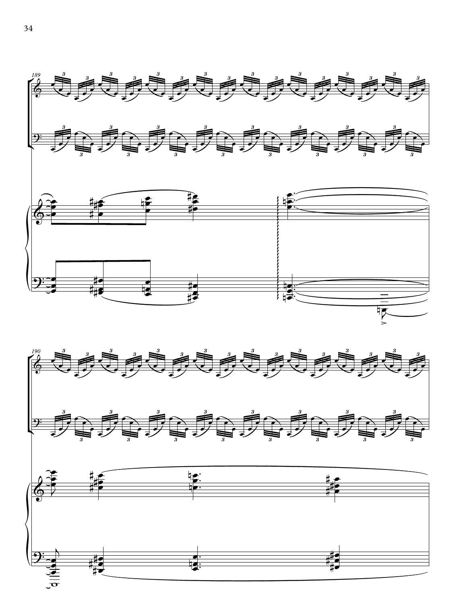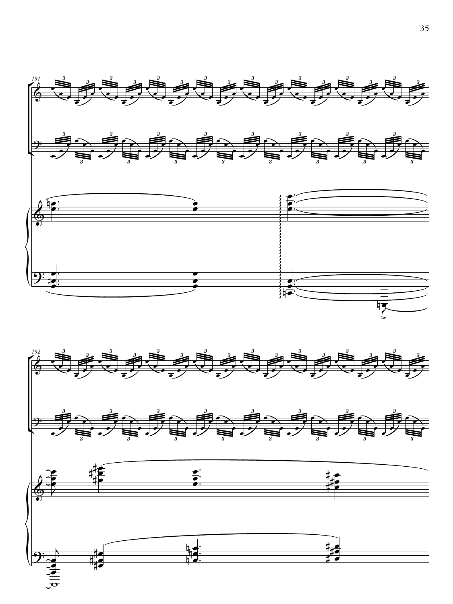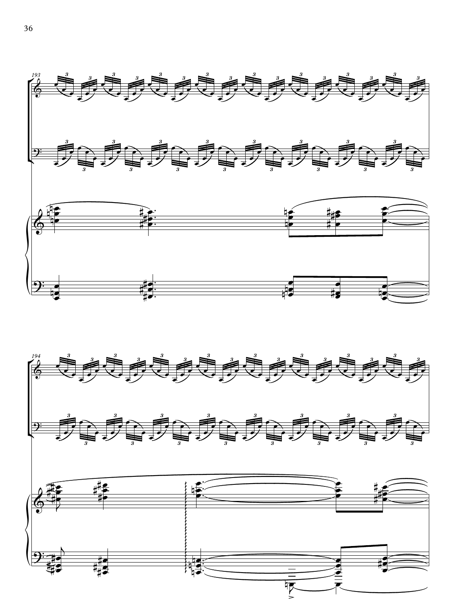



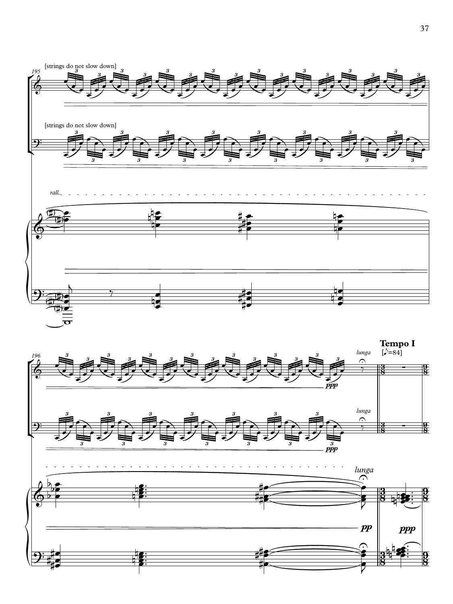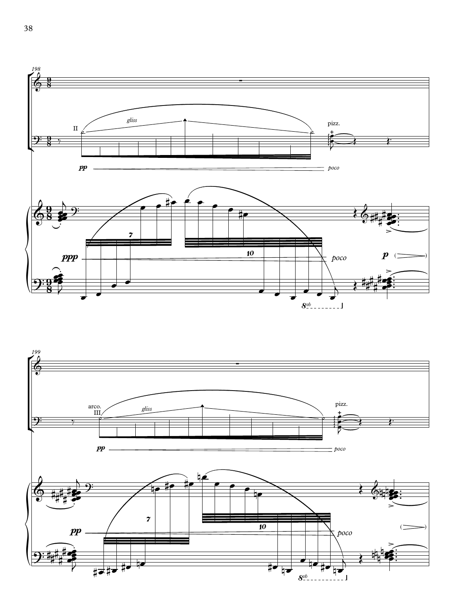

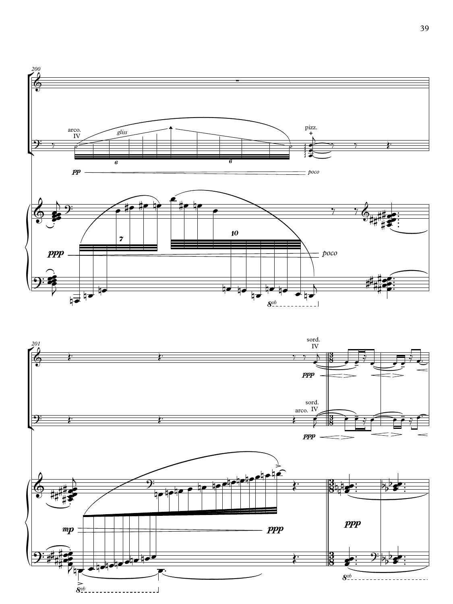

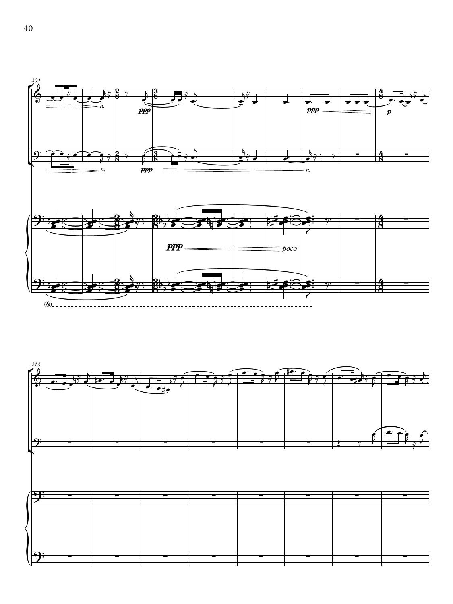

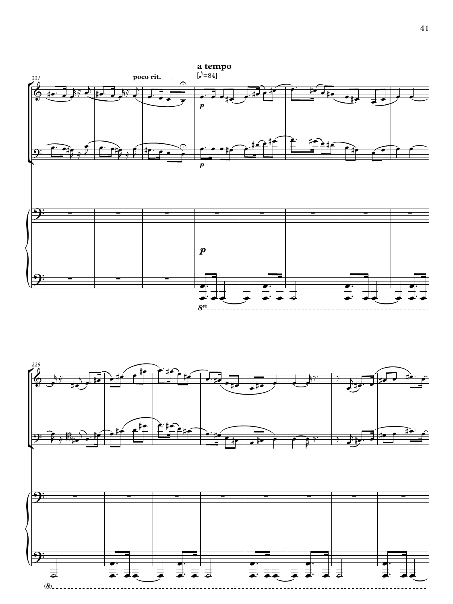